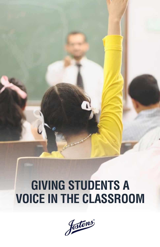# **GIVING STUDENTS A VOICE IN THE CLASSROOM**

Jostens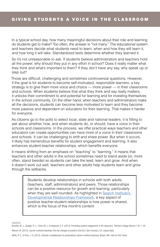In a typical school day, how many meaningful decisions about their role and learning do students get to make? Too often, the answer is "not many." The educational system and teachers decide what students need to learn, when and how they will learn it, and how long it will take. Standardized tests determine whether they learned it.

So it's not unreasonable to ask: If students believe administrators and teachers hold all the power, why should they put in any effort in school? Does it really matter what they think and what's important to them? If they don't have any say, why speak up or step out?

Those are difficult, challenging and sometimes controversial questions. However, if the goal is for students to become self-motivated, responsible learners, a key strategy is to give them more voice and choice — more power — in their classrooms and schools. When students believe that what they think and say really matters, it unlocks their commitment to and potential for learning and for investing themselves in the school community. On the other hand, when teachers and administrators make all the decisions, students can become less motivated to learn and they become more passive and dependent on educators for their learning. That makes it harder for everyone.

As citizens go to the polls to select local, state and national leaders, it is fitting to ask about whether, how, and when students do, or should, have a voice in their schools and classrooms. In the process, we offer practical ways teachers and other educators can create opportunities can have more of a voice in their classrooms and schools. It can be challenging to shift and share power. But when it occurs, it likely has tremendous benefits for student engagement and learning. It also enhances student-teacher relationships, which benefits everyone.

It means shifting from an emphasis on "teaching" to "learning." It means that teachers and other adults in the school sometimes need to stand aside (or, more often, stand beside) so students can take the lead, learn and grow. And when it doesn't work out well, teachers and other adults help students learn and grow through the setbacks.

> Students develop relationships in schools with both adults (teachers, staff, administrators) and peers. Those relationships can be a positive resource for growth and learning, particularly when they are well rounded. As highlighted in [Search Institute's](http://www.search-institute.org/downloadable/Developmental-Relationships-Framework.pdf)  [Developmental Relationships Framework,](http://www.search-institute.org/downloadable/Developmental-Relationships-Framework.pdf) a key aspect of positive teacher-student relationships is how power is shared, which is the focus of this month's content.

SOURCES.

Wolfe, R. E., & Poon, J. D. (2015). *Educator competencies for personalized, learner-centered teaching.* Boston, MA: Jobs for the Future.

Bundick, M. J., Quaglia, R. J., Corso, M. J., & Haywood, D. E. (2014). Promoting student engagement in the classroom. *Teachers College Record,* 116, 1–34. Weimer, M. (2013). *Learner-centered teaching: Five key changes to practice (2nd Ed.).* San Francisco, CA: Jossey-Bass.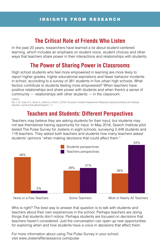# **The Critical Role of Friends Who Listen**

In the past 20 years, researchers have learned a lot about student-centered learning, which includes an emphasis on student voice, student choices and other ways that teachers share power in their interactions and relationships with students.

# **The Power of Sharing Power in Classrooms**

High school students who feel more empowered in learning are more likely to report higher grades, higher educational aspirations and fewer behavior incidents in school, according to a survey of 381 students in five urban high schools. What factors contribute to students feeling more empowered? When teachers have positive relationships and share power with students and when there's a sense of community — relationships with other students — in the classroom.

SOURCE:

Kirk, C. M., Lewis, R. K., Brown, K., Karibo, B., & Park, E. (2016). The power of student empowerment: Measuring classroom predictors and individual indicators. Journal of Educational Research, 1-7.

## **Teachers and Students: Different Perspectives**

Teachers may believe they are asking students for their input, but students may not see themselves having opportunity for input. In May 2016, Search Institute pilot tested The Pulse Survey for Jostens in eight schools, surveying 2,448 students and 118 teachers. They asked both teachers and students how many teachers asked students' opinions "when making decisions that could affect them."



Who is right? The best way to answer that question is to talk with students and teachers about their own experiences in the school. Perhaps teachers are doing things that students don't notice. Perhaps students are focused on decisions that teachers haven't considered. Just the conversation can open up new opportunities for exploring when and how students have a voice in decisions that affect them.

For more information about using The Pulse Survey in your school, visit www.JostensRenaissance.com/pulse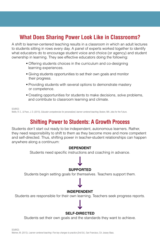# **What Does Sharing Power Look Like in Classrooms?**

A shift to learner-centered teaching results in a classroom in which an adult lectures to students sitting in rows every day. A panel of experts worked together to identify what educators do to encourage student voice and choice (or agency) and student ownership in learning. They see effective educators doing the following:

- **•** Offering students choices in the curriculum and co-designing learning experiences.
- **•** Giving students opportunities to set their own goals and monitor their progress.
- **•** Providing students with several options to demonstrate mastery or competence.
- **•** Creating opportunities for students to make decisions, solve problems, and contribute to classroom learning and climate.

SOURCE: Wolfe, R. E., & Poon, J. D. (2015). *Educator competencies for personalized, learner-centered teaching*. Boston, MA: Jobs for the Future.

### **Shifting Power to Students: A Growth Process**

Students don't start out ready to be independent, autonomous learners. Rather, they need responsibility to shift to them as they become more and more competent and self-directed. Thus, shifting power in teacher-student relationships can happen anywhere along a continuum:

#### **DEPENDENT**

Students need specific instructions and coaching in advance.

#### **SUPPORTED**

Students begin setting goals for themselves. Teachers support them.

#### **INDEPENDENT**

Students are responsible for their own learning. Teachers seek progress reports.

#### **SELF-DIRECTED**

Students set their own goals and the standards they want to achieve.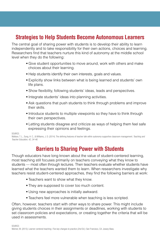## **Strategies to Help Students Become Autonomous Learners**

The central goal of sharing power with students is to develop their ability to learn independently and to take responsibility for their own actions, choices and learning. Researchers find that teachers nurture this kind of autonomy at the middle school level when they do the following:

- **•** Give student opportunities to move around, work with others and make choices about their learning.
- **•** Help students identify their own interests, goals and values.
- Explicitly show links between what is being learned and students' own life plans.
- **•** Show flexibility, following students' ideas, leads and perspectives.
- **•** Integrate students' ideas into planning activities.
- **•** Ask questions that push students to think through problems and improve their skills.
- **•** Introduce students to multiple viewpoints so they have to think through their own perspectives.
- **•** Letting students disagree and criticize as ways of helping them feel safe expressing their opinions and feelings.

SOURCE:

Wallace, T. L., Sung, H. C., & Williams, J. D. (2014). The defining features of teacher talk within autonomy-supportive classroom management. *Teaching and Teacher Education, 42, 34-46.*

### **Barriers to Sharing Power with Students**

Though educators have long known about the value of student-centered learning, most teaching still focuses primarily on teachers conveying what they know to students — most often through lectures. Then teachers evaluate whether students have learned what the teachers wanted them to learn. When researchers investigate why teachers resist student-centered approaches, they find the following barriers at work:

- **•** Teachers want to show what they know.
- **•** They are supposed to cover too much content.
- Using new approaches is initially awkward.
- **•** Teachers feel more vulnerable when teaching is less scripted.

Often, however, teachers start with other ways to share power. This might include giving students choices in their assignments or deadlines, working with students to set classroom policies and expectations, or creating together the criteria that will be used in assessments.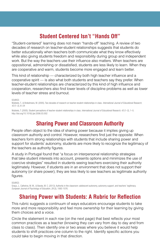# **Student Centered Isn't "Hands Off"**

"Student-centered" learning does not mean "hands-off" teaching. A review of two decades of research on teacher-student relationships suggests that students do better educationally when teachers both communicate what they know effectively while also giving students freedom and responsibility during group and independent work. But the way the teachers use their influence also matters. When teachers are oppositional, admonishing or dissatisfied, students are less likely to learn. When they are cooperative and warm, students become more engaged and learn better.

This kind of relationship — characterized by both high teacher influence and a cooperative spirit — is also what both students and teachers say they prefer. When teacher-student relationships are characterized by this kind of high influence and cooperation, researchers also find lower levels of discipline problems as well as lower levels of teacher stress and burnout.

SOURCE:

Wubbels, T., & Brekelmans, M. (2005). Two decades of research on teacher-student relationships in class. *International Journal of Educational Research, 43* (1–2), 6–24

Wubbels, T. (2005). Student perceptions of teacher-student relationships in class. *International Journal of Educational Research, 43* (1–2), 1–5. http://doi.org/10.1016/j.ijer.2006.03.002

### **Sharing Power and Classroom Authority**

People often object to the idea of sharing power because it implies giving up classroom authority and control. However, researchers find just the opposite: When teachers form strong relationships with students that include sharing power and support for students' autonomy, students are more likely to recognize the legitimacy of the teachers as authority figures.

A study in Portugal found that "a focus on interpersonal relationship strategies that take student interests into account, presents options and minimizes the use of coercive strategies" resulted in students seeing teachers exercising their authority legitimately. However, if students are in an environment that does not support their autonomy (or share power), they are less likely to see teachers as legitimate authority figures.

SOLIBCE<sup>-</sup>

Graça, J., Calheiros, M. M., & Barata, M. C. (2013). Authority in the classroom: adolescent autonomy, autonomy support, and teachers' legitimacy. *European Journal of Psychology of Education, 28* (3), 1065-1076.

### **Sharing Power with Students: A Rubric for Reflection**

This rubric suggests a continuum of ways educators encourage students to take more and more responsibility and feel more ownership for their learning by giving them choices and a voice.

Circle the statement in each row (on the next page) that best reflects your most common practices as a teacher (knowing they can vary from day to day and from class to class). Then identify one or two areas where you believe it would help students to shift practices one column to the right. Identify specific actions you could take to begin moving in that direction.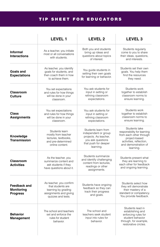## TIP SHEET FOR EDUCATORS

|                                                             | <b>LEVEL1</b>                                                                                                       | <b>LEVEL 2</b>                                                                                                                 | <b>LEVEL 3</b>                                                                                                                                           |
|-------------------------------------------------------------|---------------------------------------------------------------------------------------------------------------------|--------------------------------------------------------------------------------------------------------------------------------|----------------------------------------------------------------------------------------------------------------------------------------------------------|
| <b>Informal</b><br><b>Interactions</b>                      | As a teacher, you initiate<br>most or all conversations<br>with students.                                           | Both you and students<br>bring up ideas and<br>questions about topics<br>of interest.                                          | Students regularly<br>come to you to share<br>their ideas, questions,<br>and interests.                                                                  |
| Goals and<br><b>Expectations</b>                            | As teacher, you identify<br>goals for students, and<br>then coach them in how<br>to achieve them.                   | You quide students in<br>setting their own goals<br>for learning or behavior.                                                  | Students set their own<br>goals. You help them<br>find the resources<br>they need.                                                                       |
| Classroom<br><b>Culture</b>                                 | You set expectations<br>and rules for how things<br>will be done in your<br>classroom.                              | You ask students for<br>input in setting or<br>refining classroom<br>expectations.                                             | Students work<br>together to establish<br>classroom norms to<br>ensure learning.                                                                         |
| <b>Class</b><br><b>Assignments</b>                          | You set expectations<br>and rules for how things<br>will be done in your<br>classroom.                              | You ask students for<br>input in setting or<br>refining classroom<br>expectations.                                             | Students work<br>together to establish<br>classroom norms to<br>ensure learning.                                                                         |
| Knowledge<br><b>Transmission</b>                            | Students learn<br>mostly from teacher<br>lectures, textbooks,<br>and pre-determined<br>online content.              | Students learn from<br>independent or group<br>projects. As teacher,<br>you ask questions<br>that push for deeper<br>learning. | Students take<br>responsibility for learning<br>from each other through<br>project-based<br>activities, reflection,<br>and demonstration of<br>learning. |
| <b>Classroom</b><br><b>Activities</b>                       | As the teacher, you<br>summarize content and<br>ask students if they<br>have questions about it.                    | Students summarize<br>and identify challenging<br>content from lectures.<br>readings or other<br>assignments.                  | Students present what<br>they are learning to<br>each other for feedback<br>and ongoing learning.                                                        |
| <b>Feedback and</b><br><b>Monitoring</b><br><b>Progress</b> | As teacher, you confirm<br>that students are<br>learning by grading<br>assignments and giving<br>quizzes and tests. | Students have ongoing<br>feedback so they can<br>track their progress<br>and goals.                                            | Students select how<br>they will demonstrate<br>their mastery of a<br>standard or competency.<br>You provide feedback.                                   |
| <b>Behavior</b><br>Management                               | The school and teachers<br>set and enforce the<br>rules for student<br>behavior.                                    | The school and<br>teachers seek student<br>input into rules for<br>behavior.                                                   | Students lead in<br>establishing and<br>enforcing rules for<br>student behavior<br>through, for example,<br>restorative circles.                         |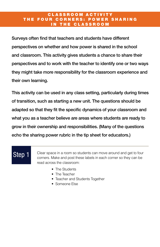#### CLASSROOM ACTIVITY THE FOUR CORNERS: POWER SHARING IN THE CLASSROOM

Surveys often find that teachers and students have different perspectives on whether and how power is shared in the school and classroom. This activity gives students a chance to share their perspectives and to work with the teacher to identify one or two ways they might take more responsibility for the classroom experience and their own learning.

This activity can be used in any class setting, particularly during times of transition, such as starting a new unit. The questions should be adapted so that they fit the specific dynamics of your classroom and what you as a teacher believe are areas where students are ready to grow in their ownership and responsibilities. (Many of the questions echo the sharing power rubric in the tip sheet for educators.)

# Step 1

Clear space in a room so students can move around and get to four corners. Make and post these labels in each corner so they can be read across the classroom:

- The Students
- The Teacher
- Teacher and Students Together
- Someone Else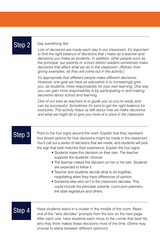#### Step 2 Say something like:

*Lots of decisions are made each day in our classroom. It's important to find the right balance of decisions that I make as a teacher and decisions you make as students. In addition, other people such as the principal, our parents or school district leaders sometimes make decisions that affect what we do in the classroom. (Refrain from giving examples, as they will come out in the activity.)*

*It's appropriate that different people make different decisions. However, one goal we have as educators is to increasingly give you, as students, more responsibility for your own learning. One way you can gain more responsibility is by participating in and making decisions about school and learning.*

*One of our jobs as teachers is to guide you so you're ready and can be successful. Sometimes it's hard to get the right balance for everyone. This activity helps us talk about how we make decisions and what we might do to give you more of a voice in the classroom.*

Step 3 Point to the four signs around the room. Explain that they represent four broad options for how decisions might be made in the classroom. You'll call out a series of decisions that are made, and students will pick the sign that best matches their experience. Explain the four signs:

- Students make this decision on their own. The teacher supports the students' choices.
- The teacher makes this decision on her or his own. Students are expected to follow it.
- Teacher and students decide what to do together, negotiating when they have differences of opinion.
- Someone else who isn't in the classroom decides. This could include the principal, parents, curriculum planners, the state legislature and others.

**Step 4** Have students stand in a cluster in the middle of the room. Read one of the "who decides" prompts from the box on the next page. After each one, have students each move to the corner that best fits who they think makes these decisions most of the time. (Some may choose to stand between different options!)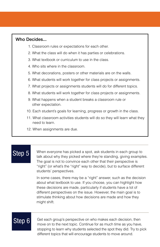#### Who Decides...

- 1. Classroom rules or expectations for each other.
- 2. What the class will do when it has parties or celebrations.
- 3. What textbook or curriculum to use in the class.
- 4. Who sits where in the classroom.
- 5. What decorations, posters or other materials are on the walls.
- 6. What students will work together for class projects or assignments.
- 7. What projects or assignments students will do for different topics.
- 8. What students will work together for class projects or assignments.
- 9. What happens when a student breaks a classroom rule or other expectation.
- 10. Each student's goals for learning, progress or growth in the class.
- 11. What classroom activities students will do so they will learn what they need to learn.
- 12. When assignments are due.

# Step 5

When everyone has picked a spot, ask students in each group to talk about why they picked where they're standing, giving examples. The goal is not to convince each other that their perspective is "right" (or what's the "right" way to decide), but to surface different students' perspectives.

In some cases, there may be a "right" answer, such as the decision about what textbook to use. If you choose, you can highlight how these decisions are made, particularly if students have a lot of different perspectives on the issue. However, the main goal is to stimulate thinking about how decisions are made and how they might shift.

 $Step 6$  Get each group's perspective on who makes each decision, then move on to the next topic. Continue for as much time as you have, stopping to learn why students selected the spot they did. Try to pick different topics that will encourage students to move around.